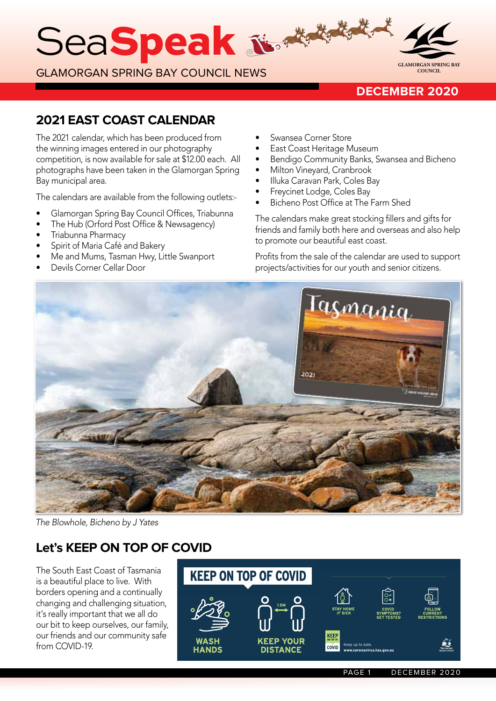SeaSpeak &

GLAMORGAN SPRING BAY COUNCIL NEWS



## **DECEMBER 2020**

## **2021 EAST COAST CALENDAR**

The 2021 calendar, which has been produced from the winning images entered in our photography competition, is now available for sale at \$12.00 each. All photographs have been taken in the Glamorgan Spring Bay municipal area.

The calendars are available from the following outlets:-

- Glamorgan Spring Bay Council Offices, Triabunna
- The Hub (Orford Post Office & Newsagency)
- Triabunna Pharmacy
- Spirit of Maria Café and Bakery
- Me and Mums, Tasman Hwy, Little Swanport
- Devils Corner Cellar Door
- Swansea Corner Store
- East Coast Heritage Museum
- Bendigo Community Banks, Swansea and Bicheno
- Milton Vineyard, Cranbrook
- Illuka Caravan Park, Coles Bay
- Freycinet Lodge, Coles Bay
- Bicheno Post Office at The Farm Shed

The calendars make great stocking fillers and gifts for friends and family both here and overseas and also help to promote our beautiful east coast.

Profits from the sale of the calendar are used to support projects/activities for our youth and senior citizens.



*The Blowhole, Bicheno by J Yates*

# **Let's KEEP ON TOP OF COVID**

The South East Coast of Tasmania is a beautiful place to live. With borders opening and a continually changing and challenging situation, it's really important that we all do our bit to keep ourselves, our family, our friends and our community safe from COVID-19.

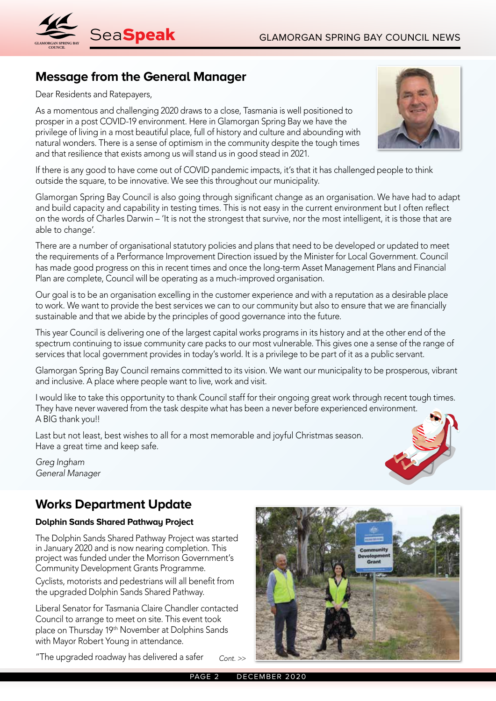

# **Message from the General Manager**

Dear Residents and Ratepayers,

As a momentous and challenging 2020 draws to a close, Tasmania is well positioned to prosper in a post COVID-19 environment. Here in Glamorgan Spring Bay we have the privilege of living in a most beautiful place, full of history and culture and abounding with natural wonders. There is a sense of optimism in the community despite the tough times and that resilience that exists among us will stand us in good stead in 2021.

If there is any good to have come out of COVID pandemic impacts, it's that it has challenged people to think outside the square, to be innovative. We see this throughout our municipality.

Glamorgan Spring Bay Council is also going through significant change as an organisation. We have had to adapt and build capacity and capability in testing times. This is not easy in the current environment but I often reflect on the words of Charles Darwin – 'It is not the strongest that survive, nor the most intelligent, it is those that are able to change'.

There are a number of organisational statutory policies and plans that need to be developed or updated to meet the requirements of a Performance Improvement Direction issued by the Minister for Local Government. Council has made good progress on this in recent times and once the long-term Asset Management Plans and Financial Plan are complete, Council will be operating as a much-improved organisation.

Our goal is to be an organisation excelling in the customer experience and with a reputation as a desirable place to work. We want to provide the best services we can to our community but also to ensure that we are financially sustainable and that we abide by the principles of good governance into the future.

This year Council is delivering one of the largest capital works programs in its history and at the other end of the spectrum continuing to issue community care packs to our most vulnerable. This gives one a sense of the range of services that local government provides in today's world. It is a privilege to be part of it as a public servant.

Glamorgan Spring Bay Council remains committed to its vision. We want our municipality to be prosperous, vibrant and inclusive. A place where people want to live, work and visit.

I would like to take this opportunity to thank Council staff for their ongoing great work through recent tough times. They have never wavered from the task despite what has been a never before experienced environment. A BIG thank you!!

Last but not least, best wishes to all for a most memorable and joyful Christmas season. Have a great time and keep safe.

*Greg Ingham General Manager*

## **Works Department Update**

### **Dolphin Sands Shared Pathway Project**

The Dolphin Sands Shared Pathway Project was started in January 2020 and is now nearing completion. This project was funded under the Morrison Government's Community Development Grants Programme.

Cyclists, motorists and pedestrians will all benefit from the upgraded Dolphin Sands Shared Pathway.

Liberal Senator for Tasmania Claire Chandler contacted Council to arrange to meet on site. This event took place on Thursday 19th November at Dolphins Sands with Mayor Robert Young in attendance.

"The upgraded roadway has delivered a safer *Cont. >>*





PAGE 2 DECEMBER 2020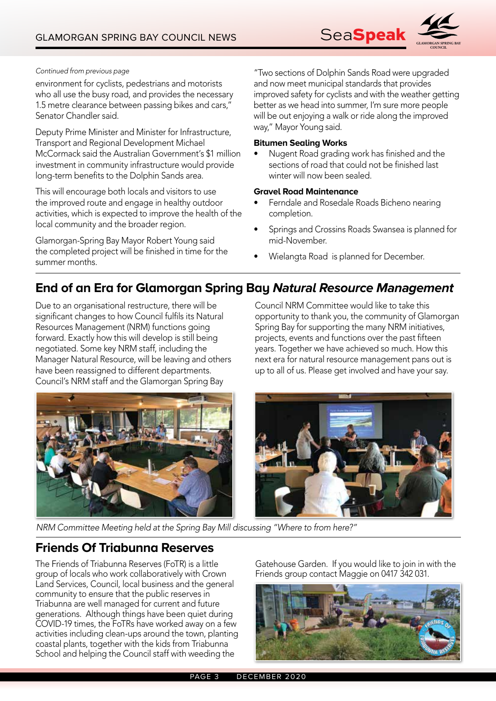

#### *Continued from previous page*

environment for cyclists, pedestrians and motorists who all use the busy road, and provides the necessary 1.5 metre clearance between passing bikes and cars," Senator Chandler said.

Deputy Prime Minister and Minister for Infrastructure, Transport and Regional Development Michael McCormack said the Australian Government's \$1 million investment in community infrastructure would provide long-term benefits to the Dolphin Sands area.

This will encourage both locals and visitors to use the improved route and engage in healthy outdoor activities, which is expected to improve the health of the local community and the broader region.

Glamorgan-Spring Bay Mayor Robert Young said the completed project will be finished in time for the summer months.

"Two sections of Dolphin Sands Road were upgraded and now meet municipal standards that provides improved safety for cyclists and with the weather getting better as we head into summer, I'm sure more people will be out enjoying a walk or ride along the improved way," Mayor Young said.

#### **Bitumen Sealing Works**

• Nugent Road grading work has finished and the sections of road that could not be finished last winter will now been sealed.

### **Gravel Road Maintenance**

- Ferndale and Rosedale Roads Bicheno nearing completion.
- Springs and Crossins Roads Swansea is planned for mid-November.
- Wielangta Road is planned for December.

## **End of an Era for Glamorgan Spring Bay Natural Resource Management**

Due to an organisational restructure, there will be significant changes to how Council fulfils its Natural Resources Management (NRM) functions going forward. Exactly how this will develop is still being negotiated. Some key NRM staff, including the Manager Natural Resource, will be leaving and others have been reassigned to different departments. Council's NRM staff and the Glamorgan Spring Bay

Council NRM Committee would like to take this opportunity to thank you, the community of Glamorgan Spring Bay for supporting the many NRM initiatives, projects, events and functions over the past fifteen years. Together we have achieved so much. How this next era for natural resource management pans out is up to all of us. Please get involved and have your say.



*NRM Committee Meeting held at the Spring Bay Mill discussing "Where to from here?"*

## **Friends Of Triabunna Reserves**

The Friends of Triabunna Reserves (FoTR) is a little group of locals who work collaboratively with Crown Land Services, Council, local business and the general community to ensure that the public reserves in Triabunna are well managed for current and future generations. Although things have been quiet during COVID-19 times, the FoTRs have worked away on a few activities including clean-ups around the town, planting coastal plants, together with the kids from Triabunna School and helping the Council staff with weeding the

Gatehouse Garden. If you would like to join in with the Friends group contact Maggie on 0417 342 031.

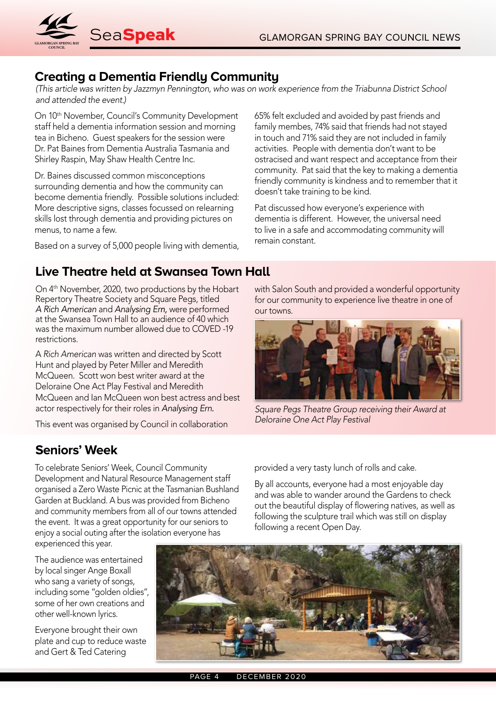

## **Creating a Dementia Friendly Community**

*(This article was written by Jazzmyn Pennington, who was on work experience from the Triabunna District School and attended the event.)*

On 10th November, Council's Community Development staff held a dementia information session and morning tea in Bicheno. Guest speakers for the session were Dr. Pat Baines from Dementia Australia Tasmania and Shirley Raspin, May Shaw Health Centre Inc.

Dr. Baines discussed common misconceptions surrounding dementia and how the community can become dementia friendly. Possible solutions included: More descriptive signs, classes focussed on relearning skills lost through dementia and providing pictures on menus, to name a few.

Based on a survey of 5,000 people living with dementia,

65% felt excluded and avoided by past friends and family membes, 74% said that friends had not stayed in touch and 71% said they are not included in family activities. People with dementia don't want to be ostracised and want respect and acceptance from their community. Pat said that the key to making a dementia friendly community is kindness and to remember that it doesn't take training to be kind.

Pat discussed how everyone's experience with dementia is different. However, the universal need to live in a safe and accommodating community will remain constant.

## **Live Theatre held at Swansea Town Hall**

On 4th November, 2020, two productions by the Hobart Repertory Theatre Society and Square Pegs, titled *A Rich American* and *Analysing Ern,* were performed at the Swansea Town Hall to an audience of 40 which was the maximum number allowed due to COVED -19 restrictions.

A *Rich American* was written and directed by Scott Hunt and played by Peter Miller and Meredith McQueen. Scott won best writer award at the Deloraine One Act Play Festival and Meredith McQueen and Ian McQueen won best actress and best actor respectively for their roles in *Analysing Ern.*

This event was organised by Council in collaboration

# **Seniors' Week**

To celebrate Seniors' Week, Council Community Development and Natural Resource Management staff organised a Zero Waste Picnic at the Tasmanian Bushland Garden at Buckland. A bus was provided from Bicheno and community members from all of our towns attended the event. It was a great opportunity for our seniors to enjoy a social outing after the isolation everyone has experienced this year.

The audience was entertained by local singer Ange Boxall who sang a variety of songs, including some "golden oldies", some of her own creations and other well-known lyrics.

Everyone brought their own plate and cup to reduce waste and Gert & Ted Catering

with Salon South and provided a wonderful opportunity for our community to experience live theatre in one of our towns.



*Square Pegs Theatre Group receiving their Award at Deloraine One Act Play Festival*

provided a very tasty lunch of rolls and cake.

By all accounts, everyone had a most enjoyable day and was able to wander around the Gardens to check out the beautiful display of flowering natives, as well as following the sculpture trail which was still on display following a recent Open Day.

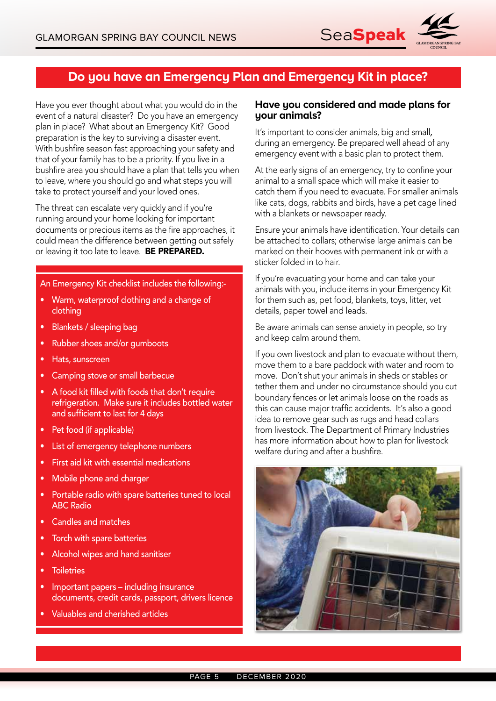

## **Do you have an Emergency Plan and Emergency Kit in place?**

Have you ever thought about what you would do in the event of a natural disaster? Do you have an emergency plan in place? What about an Emergency Kit? Good preparation is the key to surviving a disaster event. With bushfire season fast approaching your safety and that of your family has to be a priority. If you live in a bushfire area you should have a plan that tells you when to leave, where you should go and what steps you will take to protect yourself and your loved ones.

The threat can escalate very quickly and if you're running around your home looking for important documents or precious items as the fire approaches, it could mean the difference between getting out safely or leaving it too late to leave. **BE PREPARED.** 

An Emergency Kit checklist includes the following:-

- Warm, waterproof clothing and a change of clothing
- Blankets / sleeping bag
- Rubber shoes and/or gumboots
- Hats, sunscreen
- Camping stove or small barbecue
- A food kit filled with foods that don't require refrigeration. Make sure it includes bottled water and sufficient to last for 4 days
- Pet food (if applicable)
- List of emergency telephone numbers
- First aid kit with essential medications
- Mobile phone and charger
- Portable radio with spare batteries tuned to local ABC Radio
- Candles and matches
- Torch with spare batteries
- Alcohol wipes and hand sanitiser
- **Toiletries**
- Important papers including insurance documents, credit cards, passport, drivers licence
- Valuables and cherished articles

### **Have you considered and made plans for your animals?**

It's important to consider animals, big and small*,* during an emergency. Be prepared well ahead of any emergency event with a basic plan to protect them.

At the early signs of an emergency, try to confine your animal to a small space which will make it easier to catch them if you need to evacuate. For smaller animals like cats, dogs, rabbits and birds, have a pet cage lined with a blankets or newspaper ready.

Ensure your animals have identification. Your details can be attached to collars; otherwise large animals can be marked on their hooves with permanent ink or with a sticker folded in to hair.

If you're evacuating your home and can take your animals with you, include items in your Emergency Kit for them such as, pet food, blankets, toys, litter, vet details, paper towel and leads.

Be aware animals can sense anxiety in people, so try and keep calm around them.

If you own livestock and plan to evacuate without them, move them to a bare paddock with water and room to move. Don't shut your animals in sheds or stables or tether them and under no circumstance should you cut boundary fences or let animals loose on the roads as this can cause major traffic accidents. It's also a good idea to remove gear such as rugs and head collars from livestock. The Department of Primary Industries has more information about how to plan for livestock welfare during and after a bushfire.

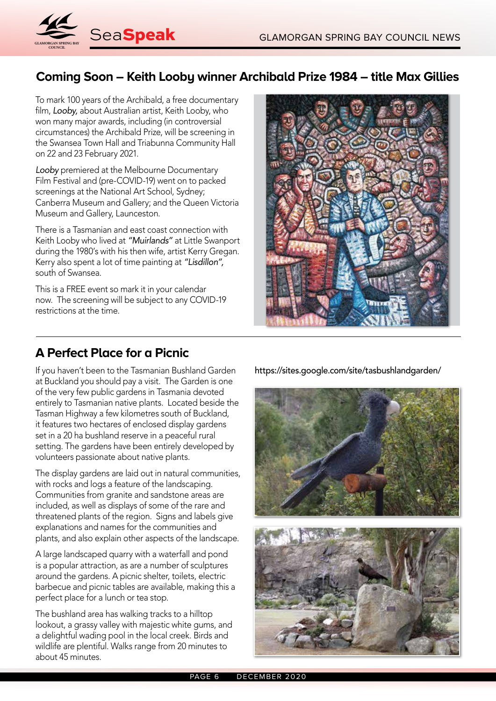

# **Coming Soon – Keith Looby winner Archibald Prize 1984 – title Max Gillies**

To mark 100 years of the Archibald, a free documentary film, *Looby,* about Australian artist, Keith Looby, who won many major awards, including (in controversial circumstances) the Archibald Prize, will be screening in the Swansea Town Hall and Triabunna Community Hall on 22 and 23 February 2021.

*Looby* premiered at the Melbourne Documentary Film Festival and (pre-COVID-19) went on to packed screenings at the National Art School, Sydney; Canberra Museum and Gallery; and the Queen Victoria Museum and Gallery, Launceston.

There is a Tasmanian and east coast connection with Keith Looby who lived at *"Muirlands"* at Little Swanport during the 1980's with his then wife, artist Kerry Gregan. Kerry also spent a lot of time painting at *"Lisdillon",*  south of Swansea.

This is a FREE event so mark it in your calendar now. The screening will be subject to any COVID-19 restrictions at the time.

## **A Perfect Place for a Picnic**

If you haven't been to the Tasmanian Bushland Garden at Buckland you should pay a visit. The Garden is one of the very few public gardens in Tasmania devoted entirely to Tasmanian native plants. Located beside the Tasman Highway a few kilometres south of Buckland, it features two hectares of enclosed display gardens set in a 20 ha bushland reserve in a peaceful rural setting. The gardens have been entirely developed by volunteers passionate about native plants.

The display gardens are laid out in natural communities, with rocks and logs a feature of the landscaping. Communities from granite and sandstone areas are included, as well as displays of some of the rare and threatened plants of the region. Signs and labels give explanations and names for the communities and plants, and also explain other aspects of the landscape.

A large landscaped quarry with a waterfall and pond is a popular attraction, as are a number of sculptures around the gardens. A picnic shelter, toilets, electric barbecue and picnic tables are available, making this a perfect place for a lunch or tea stop.

The bushland area has walking tracks to a hilltop lookout, a grassy valley with majestic white gums, and a delightful wading pool in the local creek. Birds and wildlife are plentiful. Walks range from 20 minutes to about 45 minutes.

https://sites.google.com/site/tasbushlandgarden/



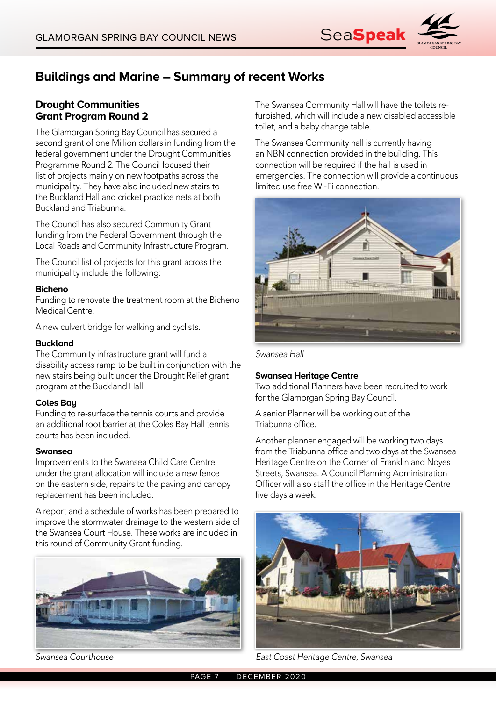

# **Buildings and Marine – Summary of recent Works**

### **Drought Communities Grant Program Round 2**

The Glamorgan Spring Bay Council has secured a second grant of one Million dollars in funding from the federal government under the Drought Communities Programme Round 2. The Council focused their list of projects mainly on new footpaths across the municipality. They have also included new stairs to the Buckland Hall and cricket practice nets at both Buckland and Triabunna.

The Council has also secured Community Grant funding from the Federal Government through the Local Roads and Community Infrastructure Program.

The Council list of projects for this grant across the municipality include the following:

### **Bicheno**

Funding to renovate the treatment room at the Bicheno Medical Centre.

A new culvert bridge for walking and cyclists.

### **Buckland**

The Community infrastructure grant will fund a disability access ramp to be built in conjunction with the new stairs being built under the Drought Relief grant program at the Buckland Hall.

### **Coles Bay**

Funding to re-surface the tennis courts and provide an additional root barrier at the Coles Bay Hall tennis courts has been included.

#### **Swansea**

Improvements to the Swansea Child Care Centre under the grant allocation will include a new fence on the eastern side, repairs to the paving and canopy replacement has been included.

A report and a schedule of works has been prepared to improve the stormwater drainage to the western side of the Swansea Court House. These works are included in this round of Community Grant funding.



The Swansea Community Hall will have the toilets refurbished, which will include a new disabled accessible toilet, and a baby change table.

The Swansea Community hall is currently having an NBN connection provided in the building. This connection will be required if the hall is used in emergencies. The connection will provide a continuous limited use free Wi-Fi connection.



*Swansea Hall*

#### **Swansea Heritage Centre**

Two additional Planners have been recruited to work for the Glamorgan Spring Bay Council.

A senior Planner will be working out of the Triabunna office.

Another planner engaged will be working two days from the Triabunna office and two days at the Swansea Heritage Centre on the Corner of Franklin and Noyes Streets, Swansea. A Council Planning Administration Officer will also staff the office in the Heritage Centre five days a week.



*Swansea Courthouse East Coast Heritage Centre, Swansea*